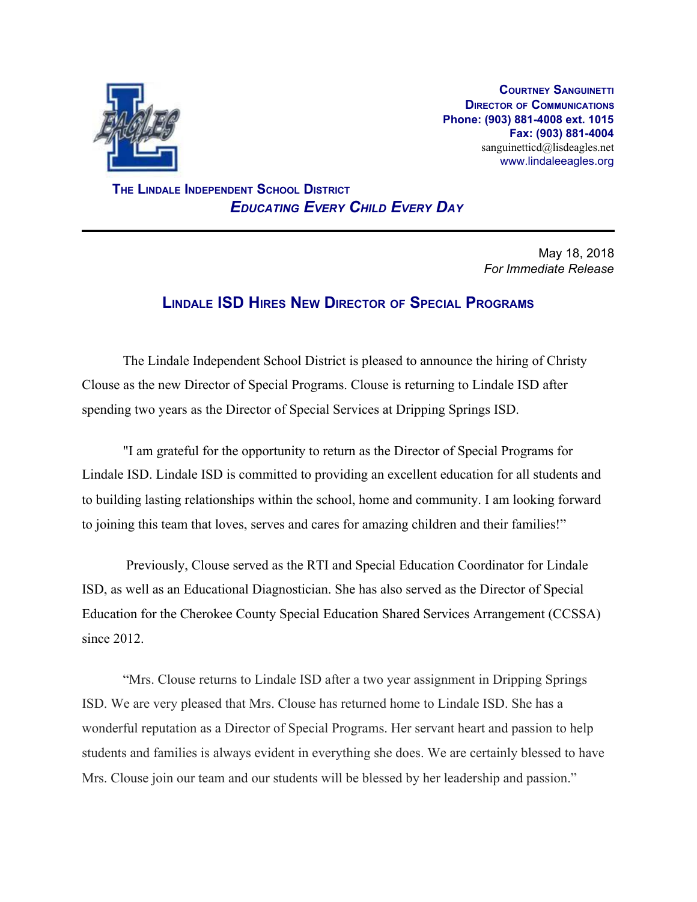

**COURTNEY SANGUINETTI DIRECTOR OF COMMUNICATIONS Phone: (903) 881-4008 ext. 1015 Fax: (903) 881-4004** sanguinetticd@lisdeagles.net www.lindaleeagles.org

 **THE LINDALE INDEPENDENT SCHOOL DISTRICT** *EDUCATING EVERY CHILD EVERY DAY*

> May 18, 2018 *For Immediate Release*

## **LINDALE ISD HIRES NEW DIRECTOR OF SPECIAL PROGRAMS**

The Lindale Independent School District is pleased to announce the hiring of Christy Clouse as the new Director of Special Programs. Clouse is returning to Lindale ISD after spending two years as the Director of Special Services at Dripping Springs ISD.

"I am grateful for the opportunity to return as the Director of Special Programs for Lindale ISD. Lindale ISD is committed to providing an excellent education for all students and to building lasting relationships within the school, home and community. I am looking forward to joining this team that loves, serves and cares for amazing children and their families!"

 Previously, Clouse served as the RTI and Special Education Coordinator for Lindale ISD, as well as an Educational Diagnostician. She has also served as the Director of Special Education for the Cherokee County Special Education Shared Services Arrangement (CCSSA) since 2012.

"Mrs. Clouse returns to Lindale ISD after a two year assignment in Dripping Springs ISD. We are very pleased that Mrs. Clouse has returned home to Lindale ISD. She has a wonderful reputation as a Director of Special Programs. Her servant heart and passion to help students and families is always evident in everything she does. We are certainly blessed to have Mrs. Clouse join our team and our students will be blessed by her leadership and passion."